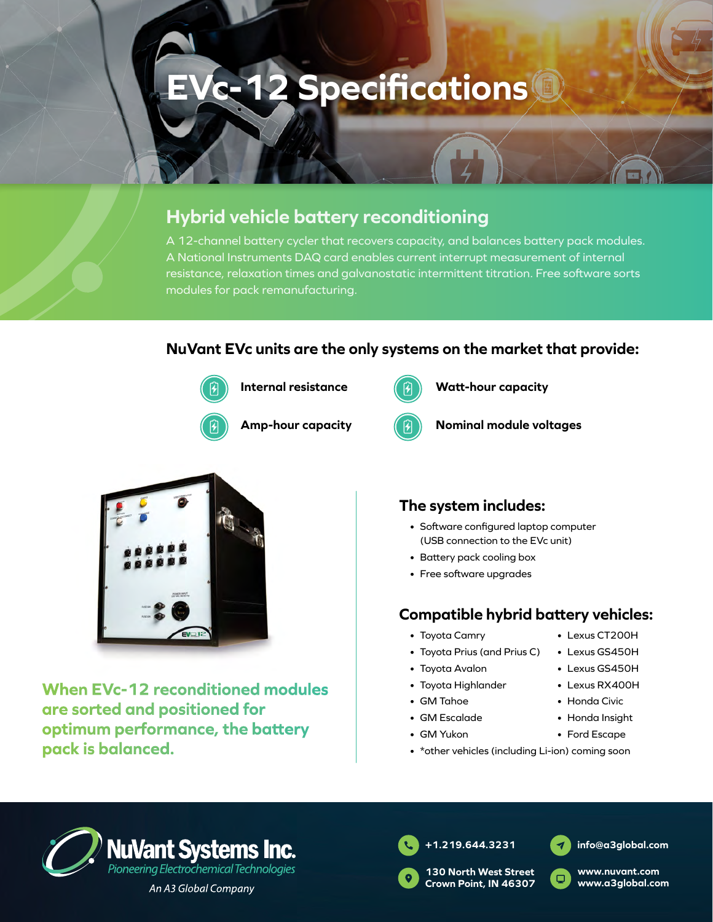# **EVc-12 Specifications**

## **Hybrid vehicle battery reconditioning**

A 12-channel battery cycler that recovers capacity, and balances battery pack modules. A National Instruments DAQ card enables current interrupt measurement of internal resistance, relaxation times and galvanostatic intermittent titration. Free software sorts modules for pack remanufacturing.

### **NuVant EVc units are the only systems on the market that provide:**



**Internal resistance**



**Amp-hour capacity**



**Watt-hour capacity**



**Nominal module voltages**



**When EVc-12 reconditioned modules are sorted and positioned for optimum performance, the battery pack is balanced.**

### **The system includes:**

- Software configured laptop computer (USB connection to the EVc unit)
- Battery pack cooling box
- Free software upgrades

### **Compatible hybrid battery vehicles:**

- Toyota Camry
- Toyota Prius (and Prius C)
- Toyota Avalon
- Toyota Highlander
- GM Tahoe
- GM Escalade
- GM Yukon
- \*other vehicles (including Li-ion) coming soon





**info@a3global.com**

• Lexus CT200H • Lexus GS450H • Lexus GS450H • Lexus RX400H • Honda Civic • Honda Insight • Ford Escape

> **www.nuvant.com www.a3global.com**







**Crown Point, IN 46307**